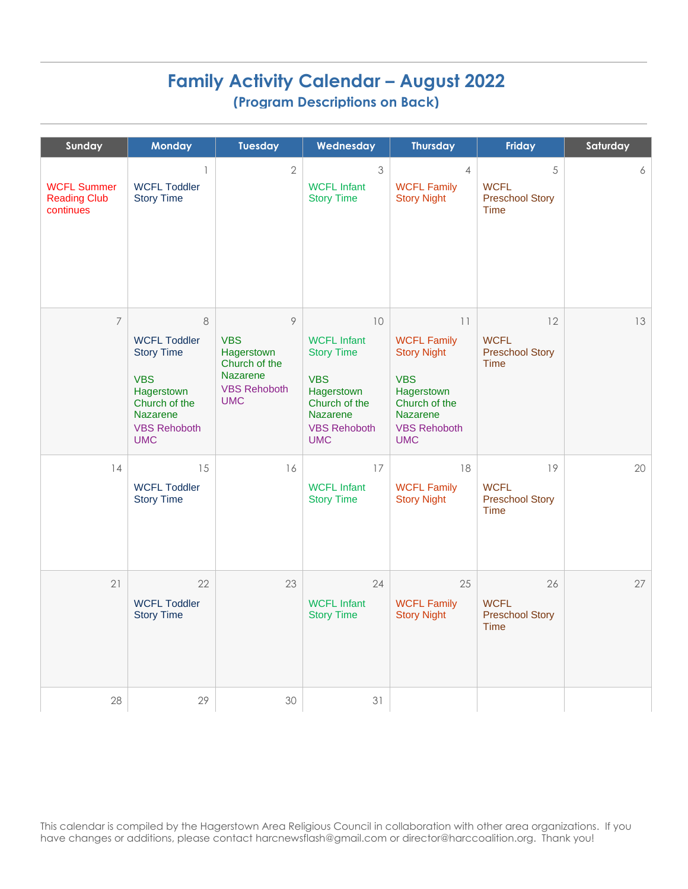## **Family Activity Calendar – August 2022 (Program Descriptions on Back)**

| Sunday                                                 | <b>Monday</b>                                                                                                                               | <b>Tuesday</b>                                                                                         | Wednesday                                                                                                                                          | <b>Thursday</b>                                                                                                                              | Friday                                                     | Saturday |
|--------------------------------------------------------|---------------------------------------------------------------------------------------------------------------------------------------------|--------------------------------------------------------------------------------------------------------|----------------------------------------------------------------------------------------------------------------------------------------------------|----------------------------------------------------------------------------------------------------------------------------------------------|------------------------------------------------------------|----------|
| <b>WCFL Summer</b><br><b>Reading Club</b><br>continues | $\mathbb{I}$<br><b>WCFL Toddler</b><br><b>Story Time</b>                                                                                    | $\overline{2}$                                                                                         | 3<br><b>WCFL Infant</b><br><b>Story Time</b>                                                                                                       | $\overline{4}$<br><b>WCFL Family</b><br><b>Story Night</b>                                                                                   | 5<br><b>WCFL</b><br><b>Preschool Story</b><br>Time         | 6        |
| $\overline{7}$                                         | 8<br><b>WCFL Toddler</b><br><b>Story Time</b><br><b>VBS</b><br>Hagerstown<br>Church of the<br>Nazarene<br><b>VBS Rehoboth</b><br><b>UMC</b> | 9<br><b>VBS</b><br>Hagerstown<br>Church of the<br><b>Nazarene</b><br><b>VBS Rehoboth</b><br><b>UMC</b> | 10<br><b>WCFL Infant</b><br><b>Story Time</b><br><b>VBS</b><br>Hagerstown<br>Church of the<br><b>Nazarene</b><br><b>VBS Rehoboth</b><br><b>UMC</b> | 11<br><b>WCFL Family</b><br><b>Story Night</b><br><b>VBS</b><br>Hagerstown<br>Church of the<br>Nazarene<br><b>VBS Rehoboth</b><br><b>UMC</b> | 12<br><b>WCFL</b><br><b>Preschool Story</b><br><b>Time</b> | 13       |
| 14                                                     | 15<br><b>WCFL Toddler</b><br><b>Story Time</b>                                                                                              | 16                                                                                                     | 17<br><b>WCFL Infant</b><br><b>Story Time</b>                                                                                                      | 18<br><b>WCFL Family</b><br><b>Story Night</b>                                                                                               | 19<br><b>WCFL</b><br><b>Preschool Story</b><br><b>Time</b> | 20       |
| 21                                                     | 22<br><b>WCFL Toddler</b><br><b>Story Time</b>                                                                                              | 23                                                                                                     | 24<br><b>WCFL Infant</b><br><b>Story Time</b>                                                                                                      | 25<br><b>WCFL Family</b><br><b>Story Night</b>                                                                                               | 26<br><b>WCFL</b><br><b>Preschool Story</b><br><b>Time</b> | 27       |
| 28                                                     | 29                                                                                                                                          | 30                                                                                                     | 31                                                                                                                                                 |                                                                                                                                              |                                                            |          |